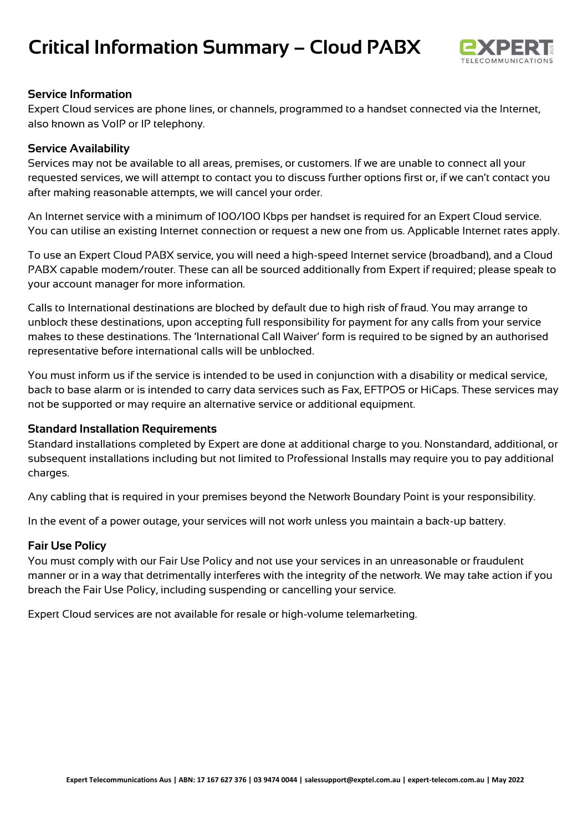# **Critical Information Summary – Cloud PABX**



## **Service Information**

Expert Cloud services are phone lines, or channels, programmed to a handset connected via the Internet, also known as VoIP or IP telephony.

### **Service Availability**

Services may not be available to all areas, premises, or customers. If we are unable to connect all your requested services, we will attempt to contact you to discuss further options first or, if we can't contact you after making reasonable attempts, we will cancel your order.

An Internet service with a minimum of 100/100 Kbps per handset is required for an Expert Cloud service. You can utilise an existing Internet connection or request a new one from us. Applicable Internet rates apply.

To use an Expert Cloud PABX service, you will need a high-speed Internet service (broadband), and a Cloud PABX capable modem/router. These can all be sourced additionally from Expert if required; please speak to your account manager for more information.

Calls to International destinations are blocked by default due to high risk of fraud. You may arrange to unblock these destinations, upon accepting full responsibility for payment for any calls from your service makes to these destinations. The 'International Call Waiver' form is required to be signed by an authorised representative before international calls will be unblocked.

You must inform us if the service is intended to be used in conjunction with a disability or medical service, back to base alarm or is intended to carry data services such as Fax, EFTPOS or HiCaps. These services may not be supported or may require an alternative service or additional equipment.

### **Standard Installation Requirements**

Standard installations completed by Expert are done at additional charge to you. Nonstandard, additional, or subsequent installations including but not limited to Professional Installs may require you to pay additional charges.

Any cabling that is required in your premises beyond the Network Boundary Point is your responsibility.

In the event of a power outage, your services will not work unless you maintain a back-up battery.

### **Fair Use Policy**

You must comply with our Fair Use Policy and not use your services in an unreasonable or fraudulent manner or in a way that detrimentally interferes with the integrity of the network. We may take action if you breach the Fair Use Policy, including suspending or cancelling your service.

Expert Cloud services are not available for resale or high-volume telemarketing.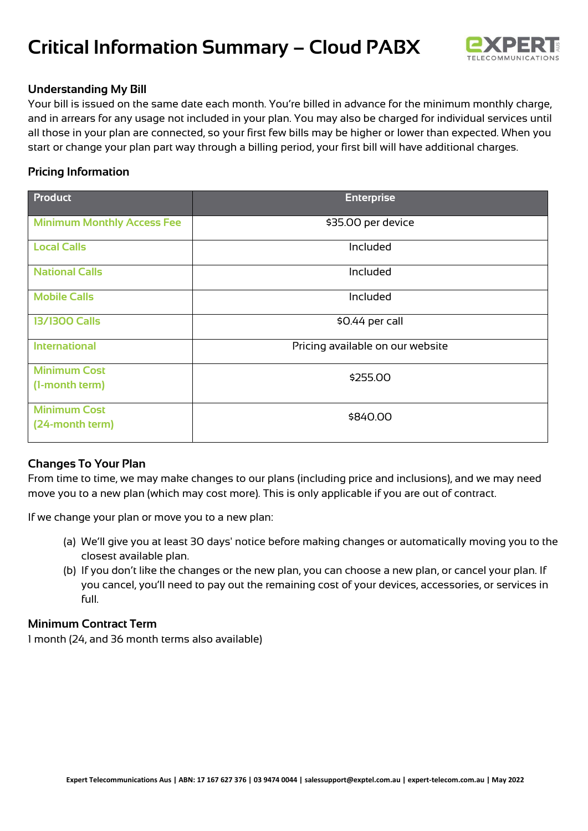

## **Understanding My Bill**

Your bill is issued on the same date each month. You're billed in advance for the minimum monthly charge, and in arrears for any usage not included in your plan. You may also be charged for individual services until all those in your plan are connected, so your first few bills may be higher or lower than expected. When you start or change your plan part way through a billing period, your first bill will have additional charges.

## **Pricing Information**

| <b>Product</b>                         | <b>Enterprise</b>                |  |  |
|----------------------------------------|----------------------------------|--|--|
| <b>Minimum Monthly Access Fee</b>      | \$35.00 per device               |  |  |
| <b>Local Calls</b>                     | Included                         |  |  |
| <b>National Calls</b>                  | Included                         |  |  |
| <b>Mobile Calls</b>                    | Included                         |  |  |
| <b>13/1300 Calls</b>                   | \$0.44 per call                  |  |  |
| <b>International</b>                   | Pricing available on our website |  |  |
| <b>Minimum Cost</b><br>(1-month term)  | \$255.00                         |  |  |
|                                        |                                  |  |  |
| <b>Minimum Cost</b><br>(24-month term) | \$840.00                         |  |  |

## **Changes To Your Plan**

From time to time, we may make changes to our plans (including price and inclusions), and we may need move you to a new plan (which may cost more). This is only applicable if you are out of contract.

If we change your plan or move you to a new plan:

- (a) We'll give you at least 30 days' notice before making changes or automatically moving you to the closest available plan.
- (b) If you don't like the changes or the new plan, you can choose a new plan, or cancel your plan. If you cancel, you'll need to pay out the remaining cost of your devices, accessories, or services in full.

## **Minimum Contract Term**

1 month (24, and 36 month terms also available)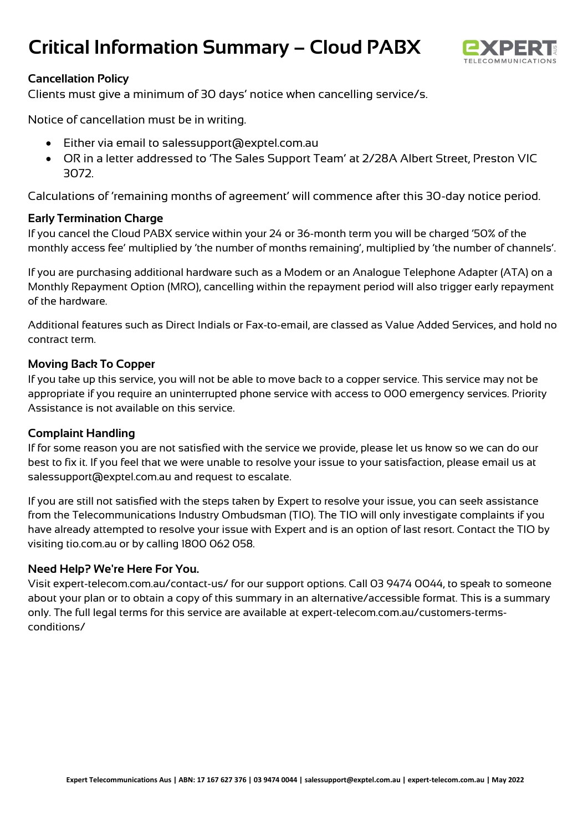# **Critical Information Summary – Cloud PABX**



# **Cancellation Policy**

Clients must give a minimum of 30 days' notice when cancelling service/s.

Notice of cancellation must be in writing.

- Either via email to salessupport@exptel.com.au
- OR in a letter addressed to 'The Sales Support Team' at 2/28A Albert Street, Preston VIC 3072.

Calculations of 'remaining months of agreement' will commence after this 30-day notice period.

## **Early Termination Charge**

If you cancel the Cloud PABX service within your 24 or 36-month term you will be charged '50% of the monthly access fee' multiplied by 'the number of months remaining', multiplied by 'the number of channels'.

If you are purchasing additional hardware such as a Modem or an Analogue Telephone Adapter (ATA) on a Monthly Repayment Option (MRO), cancelling within the repayment period will also trigger early repayment of the hardware.

Additional features such as Direct Indials or Fax-to-email, are classed as Value Added Services, and hold no contract term.

### **Moving Back To Copper**

If you take up this service, you will not be able to move back to a copper service. This service may not be appropriate if you require an uninterrupted phone service with access to 000 emergency services. Priority Assistance is not available on this service.

### **Complaint Handling**

If for some reason you are not satisfied with the service we provide, please let us know so we can do our best to fix it. If you feel that we were unable to resolve your issue to your satisfaction, please email us at salessupport@exptel.com.au and request to escalate.

If you are still not satisfied with the steps taken by Expert to resolve your issue, you can seek assistance from the Telecommunications Industry Ombudsman (TIO). The TIO will only investigate complaints if you have already attempted to resolve your issue with Expert and is an option of last resort. Contact the TIO by visiting tio.com.au or by calling 1800 062 058.

### **Need Help? We're Here For You.**

Visit expert-telecom.com.au/contact-us/ for our support options. Call 03 9474 0044, to speak to someone about your plan or to obtain a copy of this summary in an alternative/accessible format. This is a summary only. The full legal terms for this service are available at expert-telecom.com.au/customers-termsconditions/